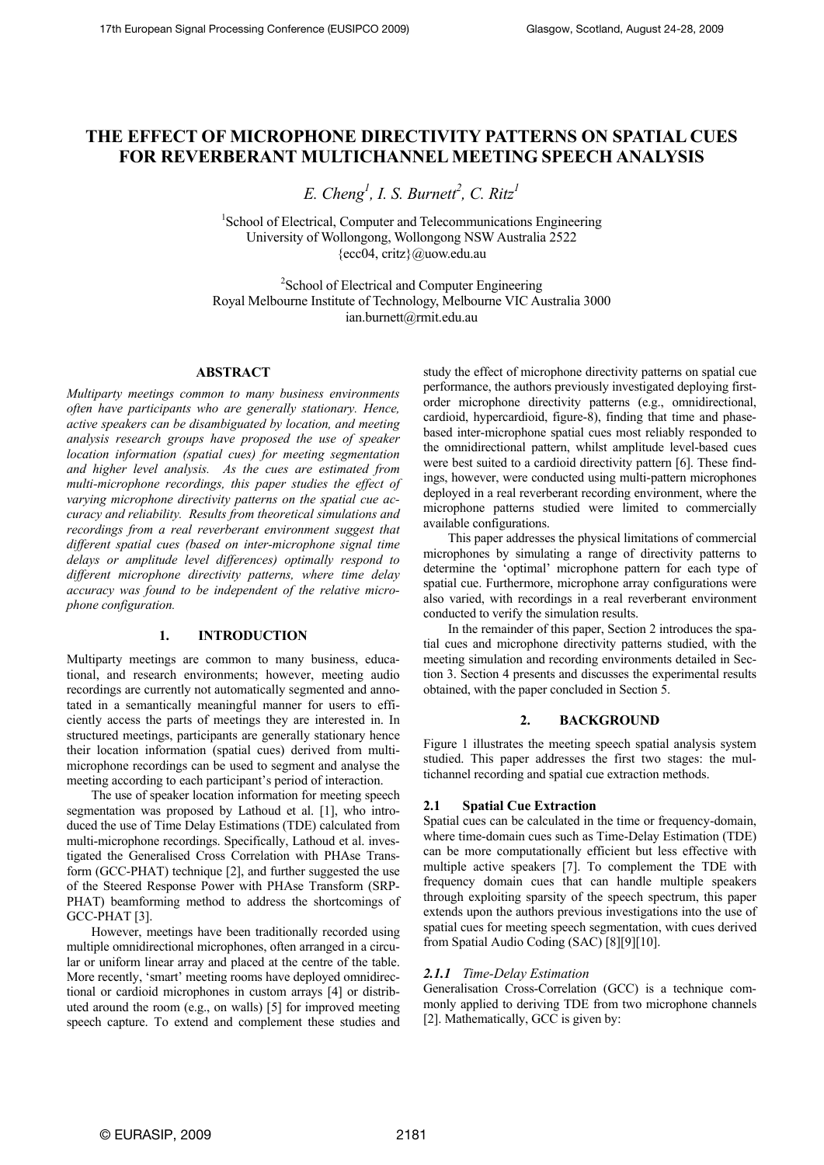# **THE EFFECT OF MICROPHONE DIRECTIVITY PATTERNS ON SPATIAL CUES FOR REVERBERANT MULTICHANNEL MEETING SPEECH ANALYSIS**

 $E.$  Cheng<sup>1</sup>, I. S. Burnett<sup>2</sup>, C. Ritz<sup>1</sup>

<sup>1</sup>School of Electrical, Computer and Telecommunications Engineering University of Wollongong, Wollongong NSW Australia 2522 {ecc04, critz}@uow.edu.au

<sup>2</sup>School of Electrical and Computer Engineering Royal Melbourne Institute of Technology, Melbourne VIC Australia 3000 ian.burnett@rmit.edu.au

#### **ABSTRACT**

*Multiparty meetings common to many business environments often have participants who are generally stationary. Hence, active speakers can be disambiguated by location, and meeting analysis research groups have proposed the use of speaker location information (spatial cues) for meeting segmentation and higher level analysis. As the cues are estimated from multi-microphone recordings, this paper studies the effect of varying microphone directivity patterns on the spatial cue accuracy and reliability. Results from theoretical simulations and recordings from a real reverberant environment suggest that different spatial cues (based on inter-microphone signal time delays or amplitude level differences) optimally respond to different microphone directivity patterns, where time delay accuracy was found to be independent of the relative microphone configuration.* 

### **1. INTRODUCTION**

Multiparty meetings are common to many business, educational, and research environments; however, meeting audio recordings are currently not automatically segmented and annotated in a semantically meaningful manner for users to efficiently access the parts of meetings they are interested in. In structured meetings, participants are generally stationary hence their location information (spatial cues) derived from multimicrophone recordings can be used to segment and analyse the meeting according to each participant's period of interaction.

The use of speaker location information for meeting speech segmentation was proposed by Lathoud et al. [1], who introduced the use of Time Delay Estimations (TDE) calculated from multi-microphone recordings. Specifically, Lathoud et al. investigated the Generalised Cross Correlation with PHAse Transform (GCC-PHAT) technique [2], and further suggested the use of the Steered Response Power with PHAse Transform (SRP-PHAT) beamforming method to address the shortcomings of GCC-PHAT [3].

However, meetings have been traditionally recorded using multiple omnidirectional microphones, often arranged in a circular or uniform linear array and placed at the centre of the table. More recently, 'smart' meeting rooms have deployed omnidirectional or cardioid microphones in custom arrays [4] or distributed around the room (e.g., on walls) [5] for improved meeting speech capture. To extend and complement these studies and study the effect of microphone directivity patterns on spatial cue performance, the authors previously investigated deploying firstorder microphone directivity patterns (e.g., omnidirectional, cardioid, hypercardioid, figure-8), finding that time and phasebased inter-microphone spatial cues most reliably responded to the omnidirectional pattern, whilst amplitude level-based cues were best suited to a cardioid directivity pattern [6]. These findings, however, were conducted using multi-pattern microphones deployed in a real reverberant recording environment, where the microphone patterns studied were limited to commercially available configurations.

This paper addresses the physical limitations of commercial microphones by simulating a range of directivity patterns to determine the 'optimal' microphone pattern for each type of spatial cue. Furthermore, microphone array configurations were also varied, with recordings in a real reverberant environment conducted to verify the simulation results.

In the remainder of this paper, Section 2 introduces the spatial cues and microphone directivity patterns studied, with the meeting simulation and recording environments detailed in Section 3. Section 4 presents and discusses the experimental results obtained, with the paper concluded in Section 5.

#### **2. BACKGROUND**

Figure 1 illustrates the meeting speech spatial analysis system studied. This paper addresses the first two stages: the multichannel recording and spatial cue extraction methods.

# **2.1 Spatial Cue Extraction**

Spatial cues can be calculated in the time or frequency-domain, where time-domain cues such as Time-Delay Estimation (TDE) can be more computationally efficient but less effective with multiple active speakers [7]. To complement the TDE with frequency domain cues that can handle multiple speakers through exploiting sparsity of the speech spectrum, this paper extends upon the authors previous investigations into the use of spatial cues for meeting speech segmentation, with cues derived from Spatial Audio Coding (SAC) [8][9][10].

# *2.1.1 Time-Delay Estimation*

Generalisation Cross-Correlation (GCC) is a technique commonly applied to deriving TDE from two microphone channels [2]. Mathematically, GCC is given by: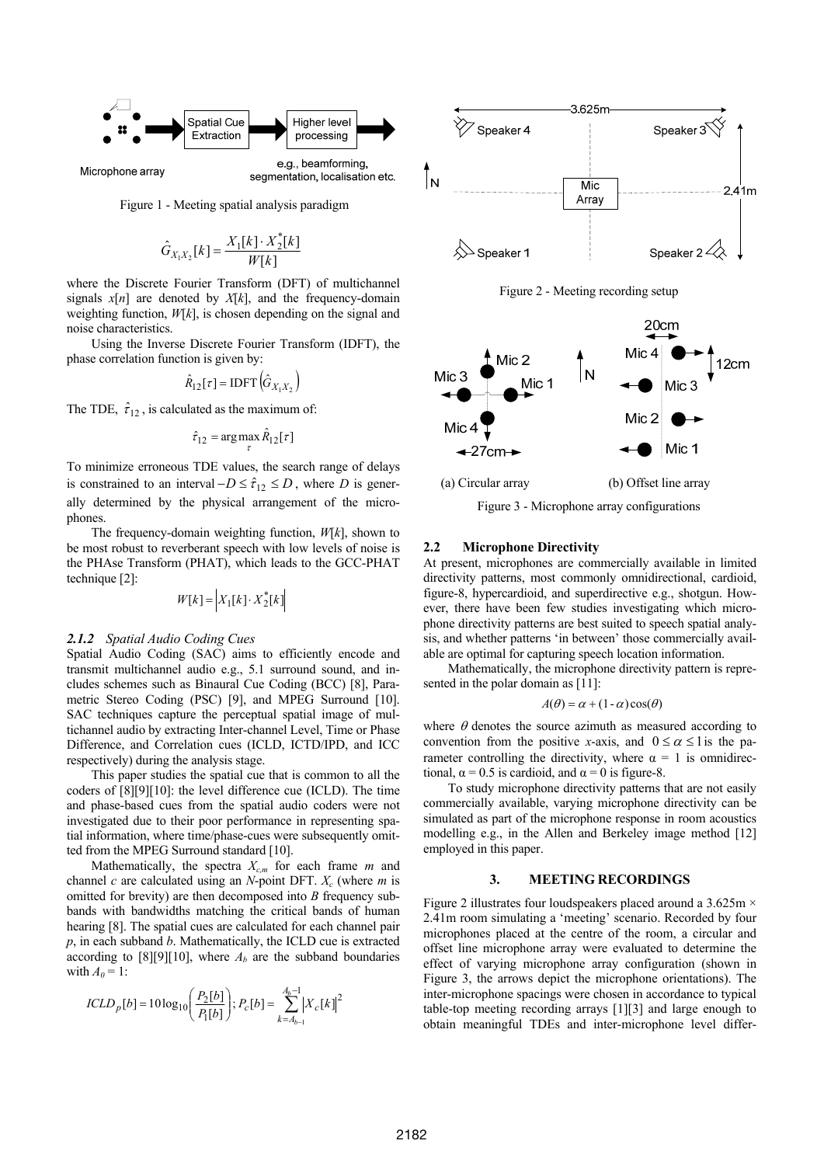

segmentation, localisation etc.

Microphone array

Figure 1 - Meeting spatial analysis paradigm

$$
\hat{G}_{X_1X_2}[k] = \frac{X_1[k] \cdot X_2^*[k]}{W[k]}
$$

where the Discrete Fourier Transform (DFT) of multichannel signals  $x[n]$  are denoted by  $X[k]$ , and the frequency-domain weighting function, *W*[*k*], is chosen depending on the signal and noise characteristics.

Using the Inverse Discrete Fourier Transform (IDFT), the phase correlation function is given by:

$$
\hat{R}_{12}[\tau] = \text{IDFT}(\hat{G}_{X_1X_2})
$$

The TDE,  $\hat{\tau}_{12}$ , is calculated as the maximum of:

$$
\hat{\tau}_{12} = \arg\max_{\tau} \hat{R}_{12}[\tau]
$$

To minimize erroneous TDE values, the search range of delays is constrained to an interval  $-D \leq \hat{\tau}_{12} \leq D$ , where *D* is generally determined by the physical arrangement of the microphones.

The frequency-domain weighting function, *W*[*k*], shown to be most robust to reverberant speech with low levels of noise is the PHAse Transform (PHAT), which leads to the GCC-PHAT technique [2]:

$$
W[k] = \begin{bmatrix} X_1[k] \cdot X_2^*[k] \end{bmatrix}
$$

#### *2.1.2 Spatial Audio Coding Cues*

Spatial Audio Coding (SAC) aims to efficiently encode and transmit multichannel audio e.g., 5.1 surround sound, and includes schemes such as Binaural Cue Coding (BCC) [8], Parametric Stereo Coding (PSC) [9], and MPEG Surround [10]. SAC techniques capture the perceptual spatial image of multichannel audio by extracting Inter-channel Level, Time or Phase Difference, and Correlation cues (ICLD, ICTD/IPD, and ICC respectively) during the analysis stage.

This paper studies the spatial cue that is common to all the coders of [8][9][10]: the level difference cue (ICLD). The time and phase-based cues from the spatial audio coders were not investigated due to their poor performance in representing spatial information, where time/phase-cues were subsequently omitted from the MPEG Surround standard [10].

Mathematically, the spectra  $X_{c,m}$  for each frame  $m$  and channel *c* are calculated using an *N*-point DFT.  $X_c$  (where *m* is omitted for brevity) are then decomposed into *B* frequency subbands with bandwidths matching the critical bands of human hearing [8]. The spatial cues are calculated for each channel pair *p*, in each subband *b*. Mathematically, the ICLD cue is extracted according to  $[8][9][10]$ , where  $A<sub>b</sub>$  are the subband boundaries with  $A_0 = 1$ :

$$
ICLD_{p}[b] = 10 \log_{10} \left( \frac{P_{2}[b]}{P_{1}[b]} \right); P_{c}[b] = \sum_{k=A_{b-1}}^{A_{b}-1} \left| X_{c}[k] \right|^{2}
$$



Figure 2 - Meeting recording setup



#### **2.2 Microphone Directivity**

At present, microphones are commercially available in limited directivity patterns, most commonly omnidirectional, cardioid, figure-8, hypercardioid, and superdirective e.g., shotgun. However, there have been few studies investigating which microphone directivity patterns are best suited to speech spatial analysis, and whether patterns 'in between' those commercially available are optimal for capturing speech location information.

Mathematically, the microphone directivity pattern is represented in the polar domain as [11]:

$$
A(\theta) = \alpha + (1 - \alpha)\cos(\theta)
$$

where  $\theta$  denotes the source azimuth as measured according to convention from the positive *x*-axis, and  $0 \le \alpha \le 1$  is the parameter controlling the directivity, where  $\alpha = 1$  is omnidirectional,  $\alpha = 0.5$  is cardioid, and  $\alpha = 0$  is figure-8.

To study microphone directivity patterns that are not easily commercially available, varying microphone directivity can be simulated as part of the microphone response in room acoustics modelling e.g., in the Allen and Berkeley image method [12] employed in this paper.

#### **3. MEETING RECORDINGS**

Figure 2 illustrates four loudspeakers placed around a  $3.625 \text{m} \times$ 2.41m room simulating a 'meeting' scenario. Recorded by four microphones placed at the centre of the room, a circular and offset line microphone array were evaluated to determine the effect of varying microphone array configuration (shown in Figure 3, the arrows depict the microphone orientations). The inter-microphone spacings were chosen in accordance to typical table-top meeting recording arrays [1][3] and large enough to obtain meaningful TDEs and inter-microphone level differ-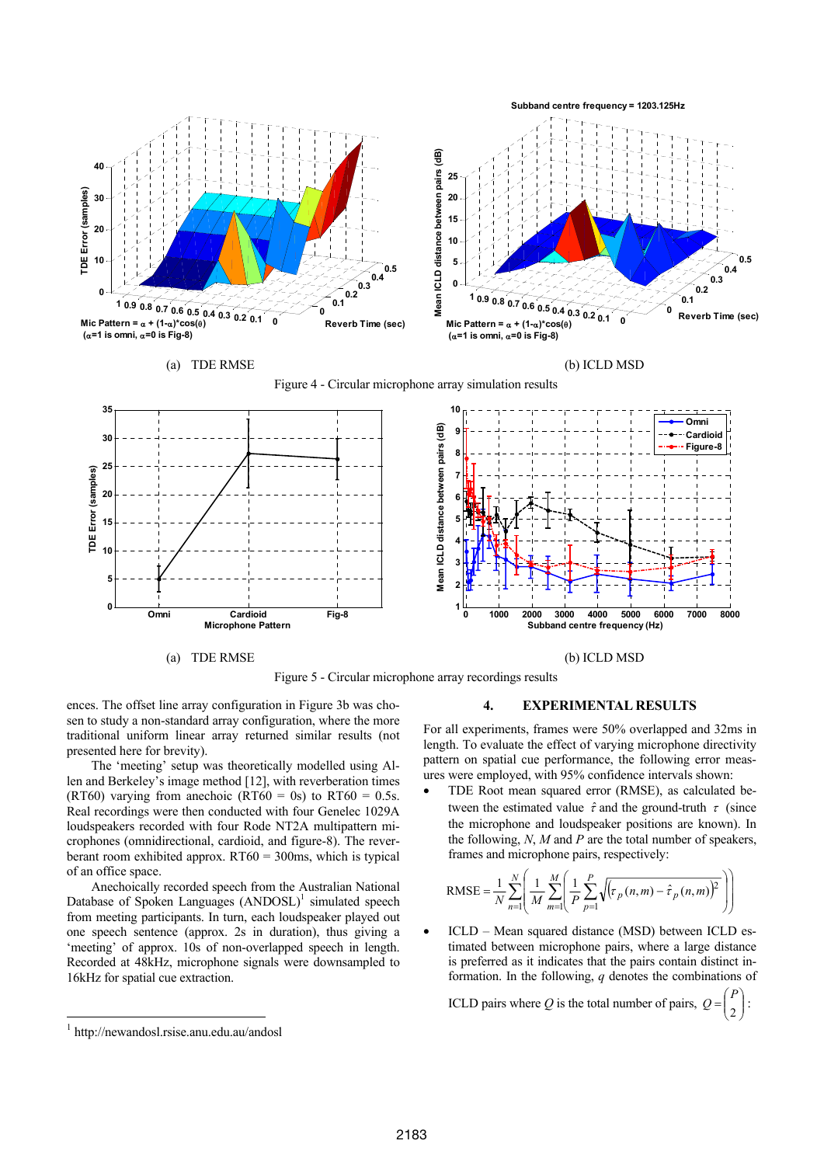

Figure 5 - Circular microphone array recordings results

ences. The offset line array configuration in Figure 3b was chosen to study a non-standard array configuration, where the more traditional uniform linear array returned similar results (not presented here for brevity).

The 'meeting' setup was theoretically modelled using Allen and Berkeley's image method [12], with reverberation times (RT60) varying from anechoic (RT60 = 0s) to RT60 = 0.5s. Real recordings were then conducted with four Genelec 1029A loudspeakers recorded with four Rode NT2A multipattern microphones (omnidirectional, cardioid, and figure-8). The reverberant room exhibited approx. RT60 = 300ms, which is typical of an office space.

Anechoically recorded speech from the Australian National Database of Spoken Languages (ANDOSL)<sup>1</sup> simulated speech from meeting participants. In turn, each loudspeaker played out one speech sentence (approx. 2s in duration), thus giving a 'meeting' of approx. 10s of non-overlapped speech in length. Recorded at 48kHz, microphone signals were downsampled to 16kHz for spatial cue extraction.

l

# **4. EXPERIMENTAL RESULTS**

For all experiments, frames were 50% overlapped and 32ms in length. To evaluate the effect of varying microphone directivity pattern on spatial cue performance, the following error measures were employed, with 95% confidence intervals shown:

• TDE Root mean squared error (RMSE), as calculated between the estimated value  $\hat{\tau}$  and the ground-truth  $\tau$  (since the microphone and loudspeaker positions are known). In the following, *N*, *M* and *P* are the total number of speakers, frames and microphone pairs, respectively:

RMSE = 
$$
\frac{1}{N} \sum_{n=1}^{N} \left( \frac{1}{M} \sum_{m=1}^{M} \left( \frac{1}{P} \sum_{p=1}^{P} \sqrt{(\tau_p(n, m) - \hat{\tau}_p(n, m))^2} \right) \right)
$$

• ICLD – Mean squared distance (MSD) between ICLD estimated between microphone pairs, where a large distance is preferred as it indicates that the pairs contain distinct information. In the following, *q* denotes the combinations of

ICLD pairs where *Q* is the total number of pairs,  $Q = \begin{bmatrix} 1 \\ 2 \end{bmatrix}$ : ⎟  $\binom{1}{2}$ ⎞  $=\begin{pmatrix} F \\ 2 \end{pmatrix}$ *P*

<sup>1</sup> http://newandosl.rsise.anu.edu.au/andosl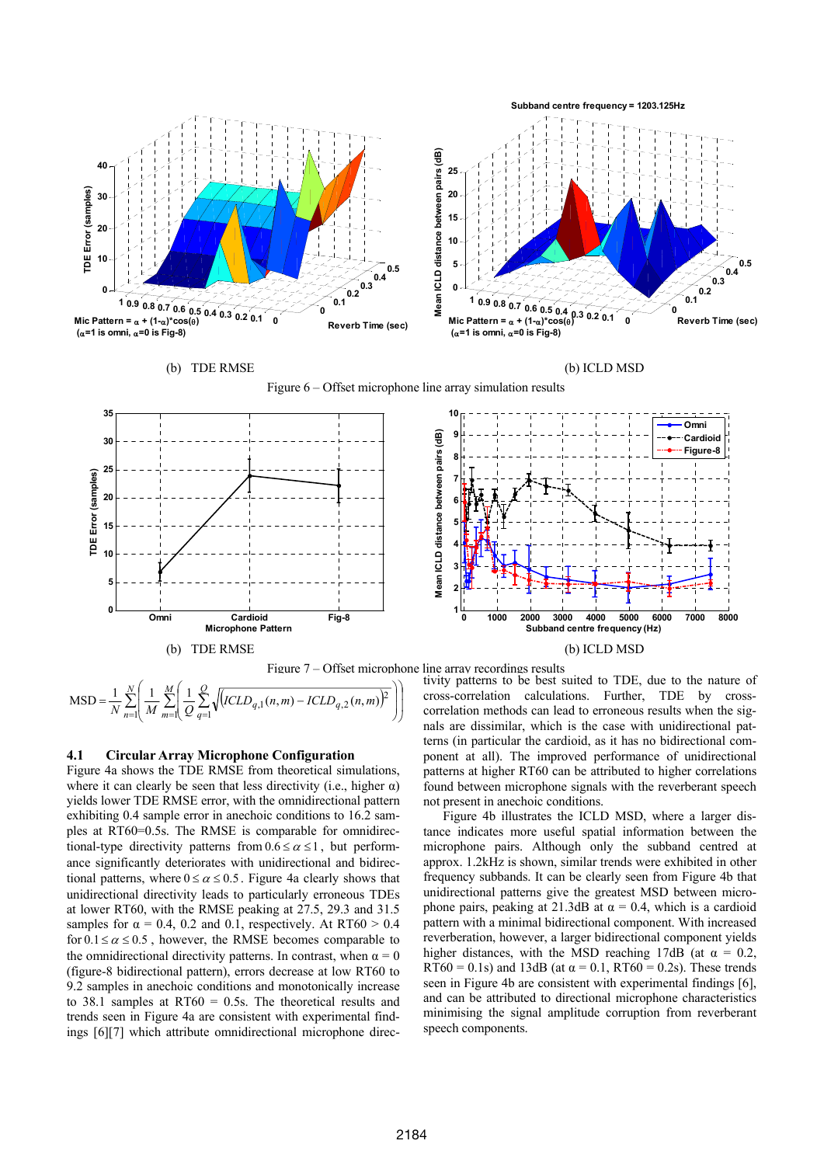





Figure 6 – Offset microphone line array simulation results



 $\sum_{n=1}^{\infty} \left| \frac{1}{M} \sum_{m=1}^{\infty} \left| \frac{1}{Q} \sum_{q=1}^{\infty} \sqrt{\left[ICLD_{q,1}(n,m) - ICLD_{q,2}(n,m)\right]^2} \right| \right|$  $\overline{\phantom{a}}$ ⎠ ⎞ ⎜ ⎝ ⎛  $\overline{a}$ ⎟ ⎠ ⎞  $\mathsf I$ ⎜ ⎝  $=\frac{1}{N}\sum_{n=1}^{N}\left(\frac{1}{N}\sum_{n=1}^{M}\left(\frac{1}{CLD_{a}}(n,m)-\frac{1}{N}\right)\right)$ *n M m Q*  $MSD = \frac{1}{N} \sum_{n=1}^{N} \left( \frac{1}{M} \sum_{m=1}^{M} \left( \frac{1}{Q} \sum_{q=1}^{Q} \sqrt{(ICLD_{q,1}(n,m) - ICLD_{q,2}(n,m))} \right)^2 \right)$ 

# **4.1 Circular Array Microphone Configuration**

Figure 4a shows the TDE RMSE from theoretical simulations, where it can clearly be seen that less directivity (i.e., higher  $\alpha$ ) yields lower TDE RMSE error, with the omnidirectional pattern exhibiting 0.4 sample error in anechoic conditions to 16.2 samples at RT60=0.5s. The RMSE is comparable for omnidirectional-type directivity patterns from  $0.6 \le \alpha \le 1$ , but performance significantly deteriorates with unidirectional and bidirectional patterns, where  $0 \le \alpha \le 0.5$ . Figure 4a clearly shows that unidirectional directivity leads to particularly erroneous TDEs at lower RT60, with the RMSE peaking at 27.5, 29.3 and 31.5 samples for  $\alpha = 0.4$ , 0.2 and 0.1, respectively. At RT60 > 0.4 for  $0.1 \le \alpha \le 0.5$ , however, the RMSE becomes comparable to the omnidirectional directivity patterns. In contrast, when  $\alpha = 0$ (figure-8 bidirectional pattern), errors decrease at low RT60 to 9.2 samples in anechoic conditions and monotonically increase to 38.1 samples at RT60 = 0.5s. The theoretical results and trends seen in Figure 4a are consistent with experimental findings [6][7] which attribute omnidirectional microphone directivity patterns to be best suited to TDE, due to the nature of cross-correlation calculations. Further, TDE by crosscorrelation methods can lead to erroneous results when the signals are dissimilar, which is the case with unidirectional patterns (in particular the cardioid, as it has no bidirectional component at all). The improved performance of unidirectional patterns at higher RT60 can be attributed to higher correlations found between microphone signals with the reverberant speech not present in anechoic conditions.

Figure 4b illustrates the ICLD MSD, where a larger distance indicates more useful spatial information between the microphone pairs. Although only the subband centred at approx. 1.2kHz is shown, similar trends were exhibited in other frequency subbands. It can be clearly seen from Figure 4b that unidirectional patterns give the greatest MSD between microphone pairs, peaking at 21.3dB at  $\alpha$  = 0.4, which is a cardioid pattern with a minimal bidirectional component. With increased reverberation, however, a larger bidirectional component yields higher distances, with the MSD reaching 17dB (at  $\alpha = 0.2$ , RT60 = 0.1s) and 13dB (at  $\alpha$  = 0.1, RT60 = 0.2s). These trends seen in Figure 4b are consistent with experimental findings [6]. and can be attributed to directional microphone characteristics minimising the signal amplitude corruption from reverberant speech components.